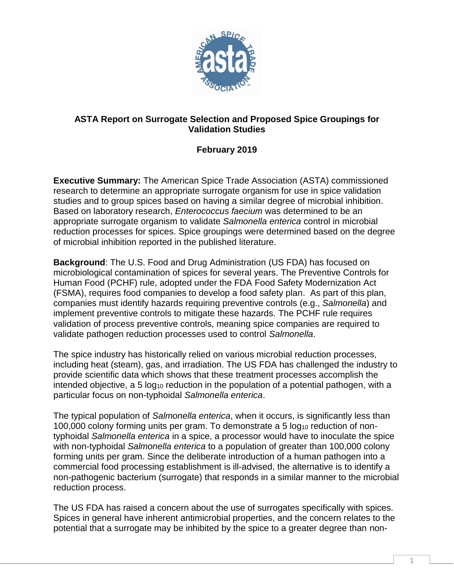

## **ASTA Report on Surrogate Selection and Proposed Spice Groupings for Validation Studies**

## **February 2019**

**Executive Summary:** The American Spice Trade Association (ASTA) commissioned research to determine an appropriate surrogate organism for use in spice validation studies and to group spices based on having a similar degree of microbial inhibition. Based on laboratory research, *Enterococcus faecium* was determined to be an appropriate surrogate organism to validate *Salmonella enterica* control in microbial reduction processes for spices. Spice groupings were determined based on the degree of microbial inhibition reported in the published literature.

**Background**: The U.S. Food and Drug Administration (US FDA) has focused on microbiological contamination of spices for several years. The Preventive Controls for Human Food (PCHF) rule, adopted under the FDA Food Safety Modernization Act (FSMA), requires food companies to develop a food safety plan. As part of this plan, companies must identify hazards requiring preventive controls (e.g., *Salmonella*) and implement preventive controls to mitigate these hazards. The PCHF rule requires validation of process preventive controls, meaning spice companies are required to validate pathogen reduction processes used to control *Salmonella*.

The spice industry has historically relied on various microbial reduction processes, including heat (steam), gas, and irradiation. The US FDA has challenged the industry to provide scientific data which shows that these treatment processes accomplish the intended objective, a 5  $log_{10}$  reduction in the population of a potential pathogen, with a particular focus on non-typhoidal *Salmonella enterica*.

The typical population of *Salmonella enterica*, when it occurs, is significantly less than 100,000 colony forming units per gram. To demonstrate a 5 log<sub>10</sub> reduction of nontyphoidal *Salmonella enterica* in a spice, a processor would have to inoculate the spice with non-typhoidal *Salmonella enterica* to a population of greater than 100,000 colony forming units per gram. Since the deliberate introduction of a human pathogen into a commercial food processing establishment is ill-advised, the alternative is to identify a non-pathogenic bacterium (surrogate) that responds in a similar manner to the microbial reduction process.

The US FDA has raised a concern about the use of surrogates specifically with spices. Spices in general have inherent antimicrobial properties, and the concern relates to the potential that a surrogate may be inhibited by the spice to a greater degree than non-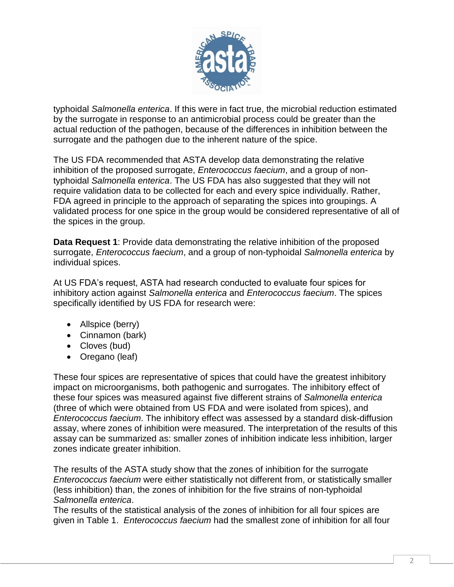

typhoidal *Salmonella enterica*. If this were in fact true, the microbial reduction estimated by the surrogate in response to an antimicrobial process could be greater than the actual reduction of the pathogen, because of the differences in inhibition between the surrogate and the pathogen due to the inherent nature of the spice.

The US FDA recommended that ASTA develop data demonstrating the relative inhibition of the proposed surrogate, *Enterococcus faecium*, and a group of nontyphoidal *Salmonella enterica*. The US FDA has also suggested that they will not require validation data to be collected for each and every spice individually. Rather, FDA agreed in principle to the approach of separating the spices into groupings. A validated process for one spice in the group would be considered representative of all of the spices in the group.

**Data Request 1**: Provide data demonstrating the relative inhibition of the proposed surrogate, *Enterococcus faecium*, and a group of non-typhoidal *Salmonella enterica* by individual spices.

At US FDA's request, ASTA had research conducted to evaluate four spices for inhibitory action against *Salmonella enterica* and *Enterococcus faecium*. The spices specifically identified by US FDA for research were:

- Allspice (berry)
- Cinnamon (bark)
- Cloves (bud)
- Oregano (leaf)

These four spices are representative of spices that could have the greatest inhibitory impact on microorganisms, both pathogenic and surrogates. The inhibitory effect of these four spices was measured against five different strains of *Salmonella enterica* (three of which were obtained from US FDA and were isolated from spices), and *Enterococcus faecium*. The inhibitory effect was assessed by a standard disk-diffusion assay, where zones of inhibition were measured. The interpretation of the results of this assay can be summarized as: smaller zones of inhibition indicate less inhibition, larger zones indicate greater inhibition.

The results of the ASTA study show that the zones of inhibition for the surrogate *Enterococcus faecium* were either statistically not different from, or statistically smaller (less inhibition) than, the zones of inhibition for the five strains of non-typhoidal *Salmonella enterica*.

The results of the statistical analysis of the zones of inhibition for all four spices are given in Table 1. *Enterococcus faecium* had the smallest zone of inhibition for all four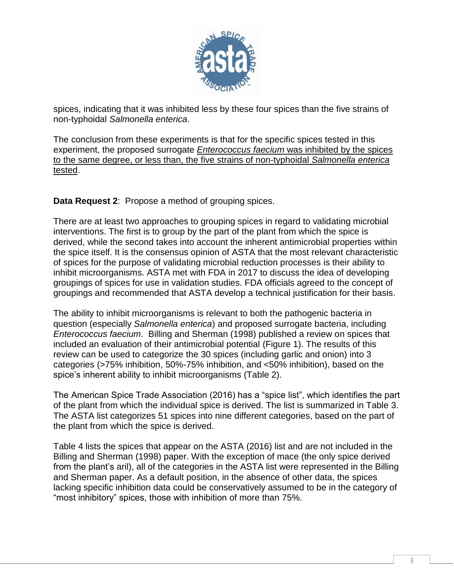

spices, indicating that it was inhibited less by these four spices than the five strains of non-typhoidal *Salmonella enterica*.

The conclusion from these experiments is that for the specific spices tested in this experiment, the proposed surrogate *Enterococcus faecium* was inhibited by the spices to the same degree, or less than, the five strains of non-typhoidal *Salmonella enterica* tested.

**Data Request 2**: Propose a method of grouping spices.

There are at least two approaches to grouping spices in regard to validating microbial interventions. The first is to group by the part of the plant from which the spice is derived, while the second takes into account the inherent antimicrobial properties within the spice itself. It is the consensus opinion of ASTA that the most relevant characteristic of spices for the purpose of validating microbial reduction processes is their ability to inhibit microorganisms. ASTA met with FDA in 2017 to discuss the idea of developing groupings of spices for use in validation studies. FDA officials agreed to the concept of groupings and recommended that ASTA develop a technical justification for their basis.

The ability to inhibit microorganisms is relevant to both the pathogenic bacteria in question (especially *Salmonella enterica*) and proposed surrogate bacteria, including *Enterococcus faecium*. Billing and Sherman (1998) published a review on spices that included an evaluation of their antimicrobial potential (Figure 1). The results of this review can be used to categorize the 30 spices (including garlic and onion) into 3 categories (>75% inhibition, 50%-75% inhibition, and <50% inhibition), based on the spice's inherent ability to inhibit microorganisms (Table 2).

The American Spice Trade Association (2016) has a "spice list", which identifies the part of the plant from which the individual spice is derived. The list is summarized in Table 3. The ASTA list categorizes 51 spices into nine different categories, based on the part of the plant from which the spice is derived.

Table 4 lists the spices that appear on the ASTA (2016) list and are not included in the Billing and Sherman (1998) paper. With the exception of mace (the only spice derived from the plant's aril), all of the categories in the ASTA list were represented in the Billing and Sherman paper. As a default position, in the absence of other data, the spices lacking specific inhibition data could be conservatively assumed to be in the category of "most inhibitory" spices, those with inhibition of more than 75%.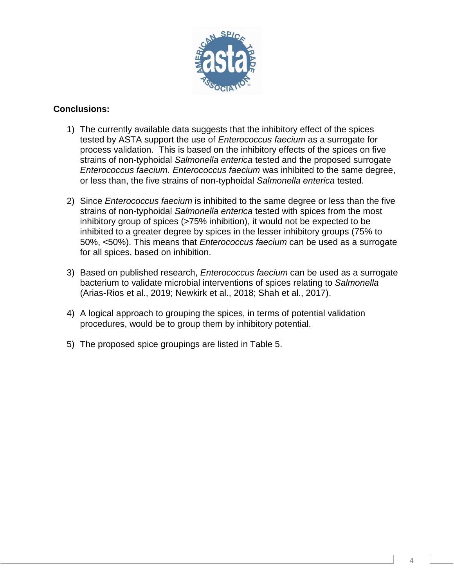

## **Conclusions:**

- 1) The currently available data suggests that the inhibitory effect of the spices tested by ASTA support the use of *Enterococcus faecium* as a surrogate for process validation. This is based on the inhibitory effects of the spices on five strains of non-typhoidal *Salmonella enterica* tested and the proposed surrogate *Enterococcus faecium. Enterococcus faecium* was inhibited to the same degree, or less than, the five strains of non-typhoidal *Salmonella enterica* tested.
- 2) Since *Enterococcus faecium* is inhibited to the same degree or less than the five strains of non-typhoidal *Salmonella enterica* tested with spices from the most inhibitory group of spices (>75% inhibition), it would not be expected to be inhibited to a greater degree by spices in the lesser inhibitory groups (75% to 50%, <50%). This means that *Enterococcus faecium* can be used as a surrogate for all spices, based on inhibition.
- 3) Based on published research, *Enterococcus faecium* can be used as a surrogate bacterium to validate microbial interventions of spices relating to *Salmonella* (Arias-Rios et al., 2019; Newkirk et al., 2018; Shah et al., 2017).
- 4) A logical approach to grouping the spices, in terms of potential validation procedures, would be to group them by inhibitory potential.
- 5) The proposed spice groupings are listed in Table 5.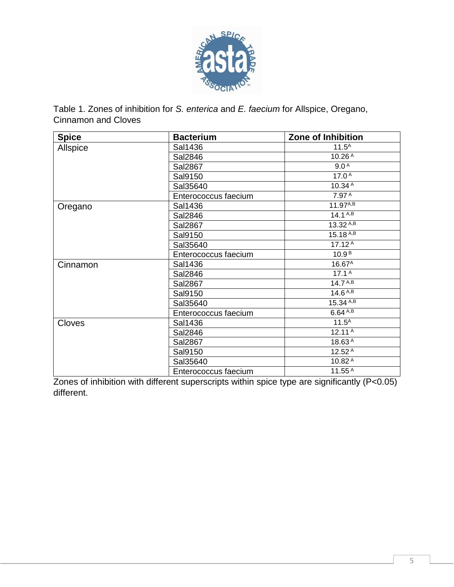

Table 1. Zones of inhibition for *S. enterica* and *E. faecium* for Allspice, Oregano, Cinnamon and Cloves

| <b>Spice</b> | <b>Bacterium</b>     | Zone of Inhibition      |  |
|--------------|----------------------|-------------------------|--|
| Allspice     | Sal1436              | $11.5^A$                |  |
|              | Sal2846              | 10.26 <sup>A</sup>      |  |
|              | Sal2867              | 9.0 <sup>A</sup>        |  |
|              | Sal9150              | 17.0 <sup>A</sup>       |  |
|              | Sal35640             | 10.34A                  |  |
|              | Enterococcus faecium | 7.97 A                  |  |
| Oregano      | Sal1436              | 11.97A,B                |  |
|              | Sal2846              | 14.1 <sup>A,B</sup>     |  |
|              | Sal2867              | $13.32^{A,B}$           |  |
|              | Sal9150              | $15.18 A, \overline{B}$ |  |
|              | Sal35640             | 17.12 <sup>A</sup>      |  |
|              | Enterococcus faecium | 10.9 <sup>B</sup>       |  |
| Cinnamon     | Sal1436              | 16.67 <sup>A</sup>      |  |
|              | Sal2846              | 17.1 <sup>A</sup>       |  |
|              | Sal2867              | 14.7 <sup>A,B</sup>     |  |
|              | Sal9150              | 14.6 <sup>A,B</sup>     |  |
|              | Sal35640             | $15.34^{A,B}$           |  |
|              | Enterococcus faecium | $6.64^{A,B}$            |  |
| Cloves       | Sal1436              | $11.5^A$                |  |
|              | Sal2846              | 12.11 <sup>A</sup>      |  |
|              | Sal2867              | 18.63A                  |  |
|              | Sal9150              | 12.52 A                 |  |
|              | Sal35640             | 10.82 <sup>A</sup>      |  |
|              | Enterococcus faecium | $11.55^{\,A}$           |  |

Zones of inhibition with different superscripts within spice type are significantly (P<0.05) different.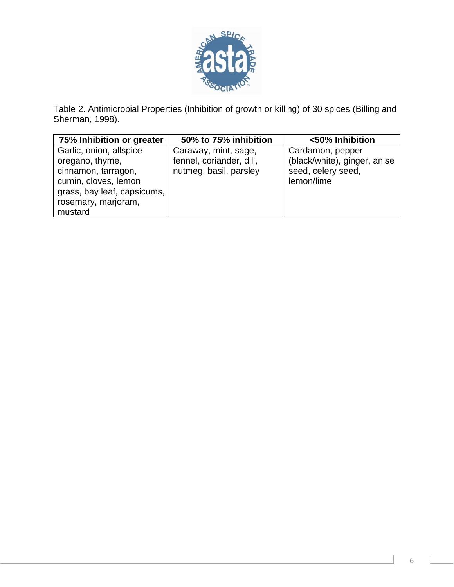

Table 2. Antimicrobial Properties (Inhibition of growth or killing) of 30 spices (Billing and Sherman, 1998).

| 75% Inhibition or greater                                                                                                                       | 50% to 75% inhibition                                                      | <50% Inhibition                                                                      |
|-------------------------------------------------------------------------------------------------------------------------------------------------|----------------------------------------------------------------------------|--------------------------------------------------------------------------------------|
| Garlic, onion, allspice<br>oregano, thyme,<br>cinnamon, tarragon,<br>cumin, cloves, lemon<br>grass, bay leaf, capsicums,<br>rosemary, marjoram, | Caraway, mint, sage,<br>fennel, coriander, dill,<br>nutmeg, basil, parsley | Cardamon, pepper<br>(black/white), ginger, anise<br>seed, celery seed,<br>lemon/lime |
| mustard                                                                                                                                         |                                                                            |                                                                                      |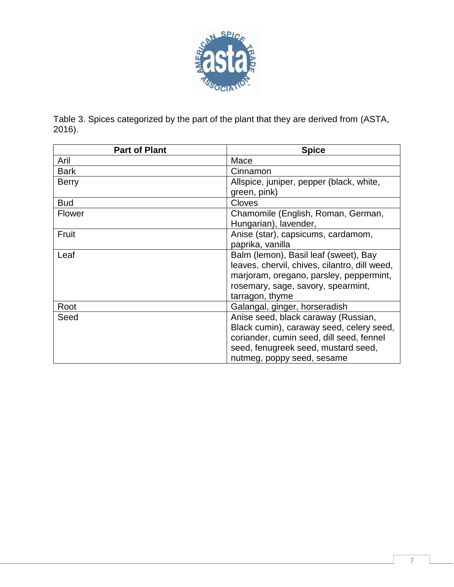

Table 3. Spices categorized by the part of the plant that they are derived from (ASTA, 2016).

| <b>Part of Plant</b> | <b>Spice</b>                                  |  |
|----------------------|-----------------------------------------------|--|
| Aril                 | Mace                                          |  |
| <b>Bark</b>          | Cinnamon                                      |  |
| <b>Berry</b>         | Allspice, juniper, pepper (black, white,      |  |
|                      | green, pink)                                  |  |
| <b>Bud</b>           | <b>Cloves</b>                                 |  |
| <b>Flower</b>        | Chamomile (English, Roman, German,            |  |
|                      | Hungarian), lavender,                         |  |
| Fruit                | Anise (star), capsicums, cardamom,            |  |
|                      | paprika, vanilla                              |  |
| Leaf                 | Balm (lemon), Basil leaf (sweet), Bay         |  |
|                      | leaves, chervil, chives, cilantro, dill weed, |  |
|                      | marjoram, oregano, parsley, peppermint,       |  |
|                      | rosemary, sage, savory, spearmint,            |  |
|                      | tarragon, thyme                               |  |
| Root                 | Galangal, ginger, horseradish                 |  |
| Seed                 | Anise seed, black caraway (Russian,           |  |
|                      | Black cumin), caraway seed, celery seed,      |  |
|                      | coriander, cumin seed, dill seed, fennel      |  |
|                      | seed, fenugreek seed, mustard seed,           |  |
|                      | nutmeg, poppy seed, sesame                    |  |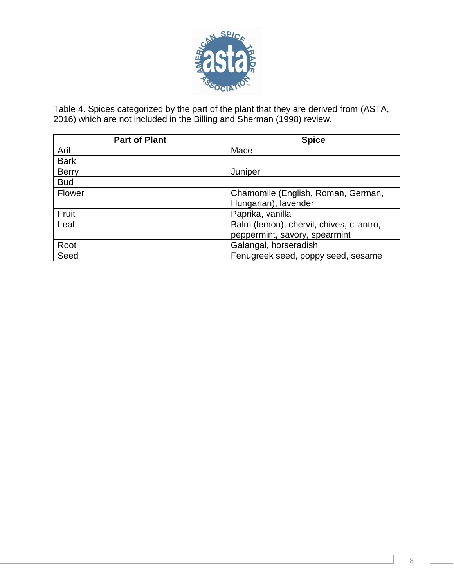

Table 4. Spices categorized by the part of the plant that they are derived from (ASTA, 2016) which are not included in the Billing and Sherman (1998) review.

| <b>Part of Plant</b> | <b>Spice</b>                             |  |
|----------------------|------------------------------------------|--|
| Aril                 | Mace                                     |  |
| <b>Bark</b>          |                                          |  |
| <b>Berry</b>         | Juniper                                  |  |
| <b>Bud</b>           |                                          |  |
| Flower               | Chamomile (English, Roman, German,       |  |
|                      | Hungarian), lavender                     |  |
| Fruit                | Paprika, vanilla                         |  |
| Leaf                 | Balm (lemon), chervil, chives, cilantro, |  |
|                      | peppermint, savory, spearmint            |  |
| Root                 | Galangal, horseradish                    |  |
| Seed                 | Fenugreek seed, poppy seed, sesame       |  |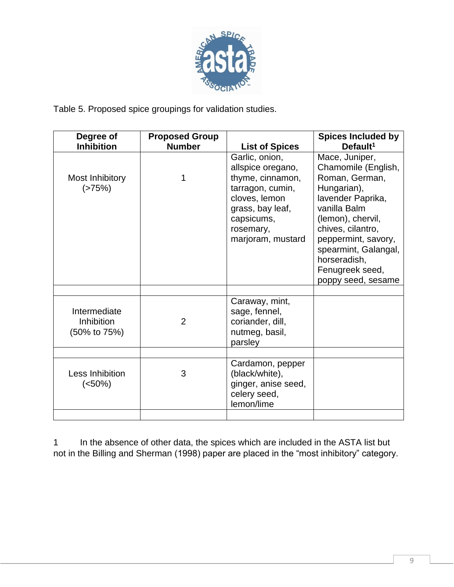

Table 5. Proposed spice groupings for validation studies.

| Degree of<br><b>Inhibition</b>                    | <b>Proposed Group</b><br><b>Number</b> | <b>List of Spices</b>                                                                                                                                            | <b>Spices Included by</b><br>Default <sup>1</sup>                                                                                                                                                                                                             |
|---------------------------------------------------|----------------------------------------|------------------------------------------------------------------------------------------------------------------------------------------------------------------|---------------------------------------------------------------------------------------------------------------------------------------------------------------------------------------------------------------------------------------------------------------|
| Most Inhibitory<br>(>75%)                         |                                        | Garlic, onion,<br>allspice oregano,<br>thyme, cinnamon,<br>tarragon, cumin,<br>cloves, lemon<br>grass, bay leaf,<br>capsicums,<br>rosemary,<br>marjoram, mustard | Mace, Juniper,<br>Chamomile (English,<br>Roman, German,<br>Hungarian),<br>lavender Paprika,<br>vanilla Balm<br>(lemon), chervil,<br>chives, cilantro,<br>peppermint, savory,<br>spearmint, Galangal,<br>horseradish,<br>Fenugreek seed,<br>poppy seed, sesame |
| Intermediate<br><b>Inhibition</b><br>(50% to 75%) | $\overline{2}$                         | Caraway, mint,<br>sage, fennel,<br>coriander, dill,<br>nutmeg, basil,<br>parsley                                                                                 |                                                                                                                                                                                                                                                               |
| Less Inhibition<br>$(<50\%)$                      | 3                                      | Cardamon, pepper<br>(black/white),<br>ginger, anise seed,<br>celery seed,<br>lemon/lime                                                                          |                                                                                                                                                                                                                                                               |
|                                                   |                                        |                                                                                                                                                                  |                                                                                                                                                                                                                                                               |

1 In the absence of other data, the spices which are included in the ASTA list but not in the Billing and Sherman (1998) paper are placed in the "most inhibitory" category.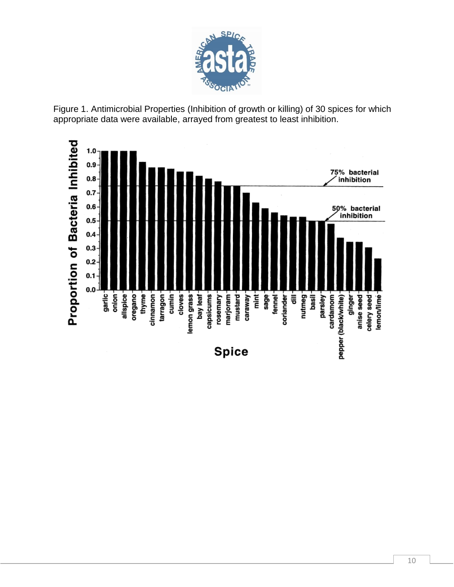

Figure 1. Antimicrobial Properties (Inhibition of growth or killing) of 30 spices for which appropriate data were available, arrayed from greatest to least inhibition.